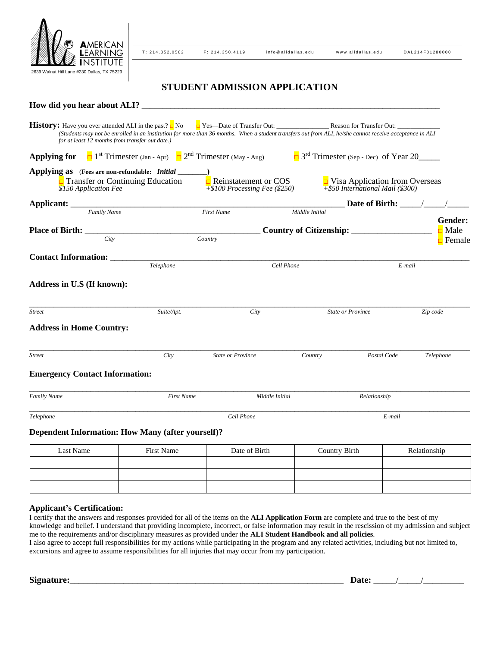

T: 214.352.0582 F: 214.350.4119 info@alidallas.edu www.alidallas.edu DAL214F01280000

# **STUDENT ADMISSION APPLICATION**

| How did you hear about ALI?                                                                                                                                                                                                                                                     |                   |                                                                           |                |                                                                              |           |
|---------------------------------------------------------------------------------------------------------------------------------------------------------------------------------------------------------------------------------------------------------------------------------|-------------------|---------------------------------------------------------------------------|----------------|------------------------------------------------------------------------------|-----------|
| <b>History:</b> Have you ever attended ALI in the past? $\Box$ No<br>(Students may not be enrolled in an institution for more than 36 months. When a student transfers out from ALI, he/she cannot receive acceptance in ALI<br>for at least 12 months from transfer out date.) |                   |                                                                           |                |                                                                              |           |
| <b>Applying for</b> $\Box$ 1 <sup>st</sup> Trimester (Jan - Apr) $\Box$ 2 <sup>nd</sup> Trimester (May - Aug)                                                                                                                                                                   |                   |                                                                           |                | $\Box$ 3 <sup>rd</sup> Trimester (Sep - Dec) of Year 20                      |           |
| Applying as (Fees are non-refundable: Initial<br>$\Box$ Transfer or Continuing Education<br>\$150 Application Fee                                                                                                                                                               |                   | $\Box$ Reinstatement or COS<br>$\overline{+\$100}$ Processing Fee (\$250) |                | $\Box$ Visa Application from Overseas<br>$+$ \$50 International Mail (\$300) |           |
|                                                                                                                                                                                                                                                                                 |                   |                                                                           |                |                                                                              |           |
| Family Name                                                                                                                                                                                                                                                                     |                   | <b>First Name</b>                                                         | Middle Initial |                                                                              | Gender:   |
|                                                                                                                                                                                                                                                                                 |                   |                                                                           |                |                                                                              | Male      |
| City                                                                                                                                                                                                                                                                            |                   | Country                                                                   |                |                                                                              | Female    |
| <b>Contact Information:</b>                                                                                                                                                                                                                                                     |                   |                                                                           |                |                                                                              |           |
| Telephone                                                                                                                                                                                                                                                                       |                   | Cell Phone                                                                |                | E-mail                                                                       |           |
| Address in U.S (If known):                                                                                                                                                                                                                                                      |                   |                                                                           |                |                                                                              |           |
| <b>Street</b>                                                                                                                                                                                                                                                                   | Suite/Apt.        | City                                                                      |                | <b>State or Province</b>                                                     | Zip code  |
| <b>Address in Home Country:</b>                                                                                                                                                                                                                                                 |                   |                                                                           |                |                                                                              |           |
| <b>Street</b>                                                                                                                                                                                                                                                                   | City              | <b>State or Province</b>                                                  | Country        | Postal Code                                                                  | Telephone |
| <b>Emergency Contact Information:</b>                                                                                                                                                                                                                                           |                   |                                                                           |                |                                                                              |           |
| <b>Family Name</b>                                                                                                                                                                                                                                                              | <b>First Name</b> | Middle Initial                                                            |                | Relationship                                                                 |           |
| Telephone                                                                                                                                                                                                                                                                       |                   | Cell Phone                                                                |                | E-mail                                                                       |           |
| <b>Dependent Information: How Many (after yourself)?</b>                                                                                                                                                                                                                        |                   |                                                                           |                |                                                                              |           |

| Last Name | First Name | Date of Birth | <b>Country Birth</b> | Relationship |
|-----------|------------|---------------|----------------------|--------------|
|           |            |               |                      |              |
|           |            |               |                      |              |
|           |            |               |                      |              |

## **Applicant's Certification:**

I certify that the answers and responses provided for all of the items on the **ALI Application Form** are complete and true to the best of my knowledge and belief. I understand that providing incomplete, incorrect, or false information may result in the rescission of my admission and subject me to the requirements and/or disciplinary measures as provided under the **ALI Student Handbook and all policies**. I also agree to accept full responsibilities for my actions while participating in the program and any related activities, including but not limited to, excursions and agree to assume responsibilities for all injuries that may occur from my participation.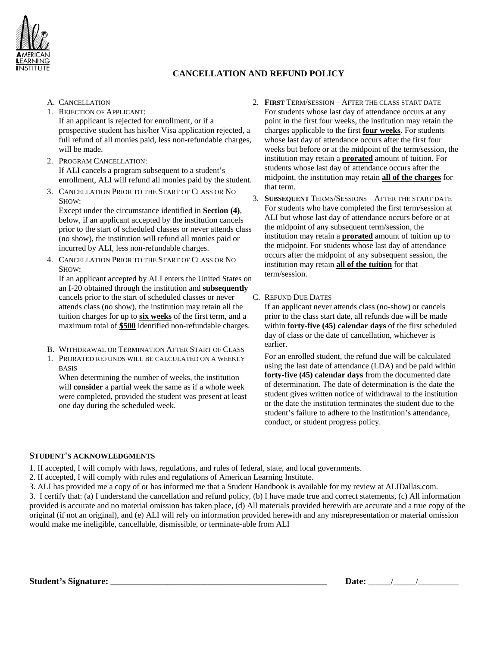

## **CANCELLATION AND REFUND POLICY**

- A. CANCELLATION
- 1. REJECTION OF APPLICANT: If an applicant is rejected for enrollment, or if a prospective student has his/her Visa application rejected, a full refund of all monies paid, less non-refundable charges, will be made.
- 2. PROGRAM CANCELLATION: If ALI cancels a program subsequent to a student's enrollment, ALI will refund all monies paid by the student.
- 3. CANCELLATION PRIOR TO THE START OF CLASS OR NO SHOW:

Except under the circumstance identified in **Section (4)**, below, if an applicant accepted by the institution cancels prior to the start of scheduled classes or never attends class (no show), the institution will refund all monies paid or incurred by ALI, less non-refundable charges.

4. CANCELLATION PRIOR TO THE START OF CLASS OR NO SHOW:

If an applicant accepted by ALI enters the United States on an I-20 obtained through the institution and **subsequently** cancels prior to the start of scheduled classes or never attends class (no show), the institution may retain all the tuition charges for up to **six weeks** of the first term, and a maximum total of **\$500** identified non-refundable charges.

- B. WITHDRAWAL OR TERMINATION AFTER START OF CLASS
- 1. PRORATED REFUNDS WILL BE CALCULATED ON A WEEKLY BASIS

When determining the number of weeks, the institution will **consider** a partial week the same as if a whole week were completed, provided the student was present at least one day during the scheduled week.

- 2. **FIRST** TERM/SESSION AFTER THE CLASS START DATE For students whose last day of attendance occurs at any point in the first four weeks, the institution may retain the charges applicable to the first **four weeks**. For students whose last day of attendance occurs after the first four weeks but before or at the midpoint of the term/session, the institution may retain a **prorated** amount of tuition. For students whose last day of attendance occurs after the midpoint, the institution may retain **all of the charges** for that term.
- 3. **SUBSEQUENT** TERMS/SESSIONS AFTER THE START DATE For students who have completed the first term/session at ALI but whose last day of attendance occurs before or at the midpoint of any subsequent term/session, the institution may retain a **prorated** amount of tuition up to the midpoint. For students whose last day of attendance occurs after the midpoint of any subsequent session, the institution may retain **all of the tuition** for that term/session.
- C. REFUND DUE DATES

If an applicant never attends class (no-show) or cancels prior to the class start date, all refunds due will be made within **forty-five (45) calendar days** of the first scheduled day of class or the date of cancellation, whichever is earlier.

For an enrolled student, the refund due will be calculated using the last date of attendance (LDA) and be paid within **forty-five (45) calendar days** from the documented date of determination. The date of determination is the date the student gives written notice of withdrawal to the institution or the date the institution terminates the student due to the student's failure to adhere to the institution's attendance, conduct, or student progress policy.

## **STUDENT'S ACKNOWLEDGMENTS**

1. If accepted, I will comply with laws, regulations, and rules of federal, state, and local governments.

- 2. If accepted, I will comply with rules and regulations of American Learning Institute.
- 3. ALI has provided me a copy of or has informed me that a Student Handbook is available for my review at ALIDallas.com.

3. I certify that: (a) I understand the cancellation and refund policy, (b) I have made true and correct statements, (c) All information provided is accurate and no material omission has taken place, (d) All materials provided herewith are accurate and a true copy of the original (if not an original), and (e) ALI will rely on information provided herewith and any misrepresentation or material omission would make me ineligible, cancellable, dismissible, or terminate-able from ALI

Student's Signature:

| Date: |  |  |  |
|-------|--|--|--|
|-------|--|--|--|